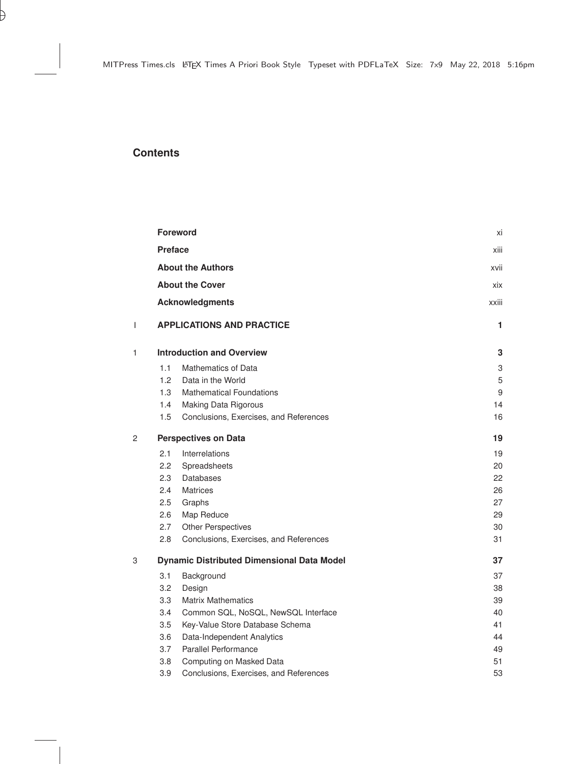## **Contents**

|   | <b>Foreword</b><br><b>Preface</b><br><b>About the Authors</b> |                                        | хi    |
|---|---------------------------------------------------------------|----------------------------------------|-------|
|   |                                                               |                                        | xiii  |
|   |                                                               |                                        | xvii  |
|   |                                                               | <b>About the Cover</b>                 | xix   |
|   |                                                               | <b>Acknowledgments</b>                 | xxiii |
| L |                                                               | <b>APPLICATIONS AND PRACTICE</b>       | 1     |
| 1 | <b>Introduction and Overview</b>                              |                                        | 3     |
|   | 1.1                                                           | <b>Mathematics of Data</b>             | 3     |
|   | 1.2                                                           | Data in the World                      | 5     |
|   | 1.3                                                           | <b>Mathematical Foundations</b>        | 9     |
|   | 1.4                                                           | Making Data Rigorous                   | 14    |
|   | 1.5                                                           | Conclusions, Exercises, and References | 16    |
| 2 | <b>Perspectives on Data</b>                                   |                                        | 19    |
|   | 2.1                                                           | Interrelations                         | 19    |
|   | 2.2                                                           | Spreadsheets                           | 20    |
|   | 2.3                                                           | Databases                              | 22    |
|   | 2.4                                                           | <b>Matrices</b>                        | 26    |
|   | 2.5                                                           | Graphs                                 | 27    |
|   | 2.6                                                           | Map Reduce                             | 29    |
|   | 2.7                                                           | <b>Other Perspectives</b>              | 30    |
|   | 2.8                                                           | Conclusions, Exercises, and References | 31    |
| 3 | <b>Dynamic Distributed Dimensional Data Model</b>             |                                        | 37    |
|   | 3.1                                                           | Background                             | 37    |
|   | 3.2                                                           | Design                                 | 38    |
|   | 3.3                                                           | <b>Matrix Mathematics</b>              | 39    |
|   | 3.4                                                           | Common SQL, NoSQL, NewSQL Interface    | 40    |
|   | $3.5\,$                                                       | Key-Value Store Database Schema        | 41    |
|   | 3.6                                                           | Data-Independent Analytics             | 44    |
|   | 3.7                                                           | <b>Parallel Performance</b>            | 49    |
|   | 3.8                                                           | Computing on Masked Data               | 51    |
|   | 3.9                                                           | Conclusions, Exercises, and References | 53    |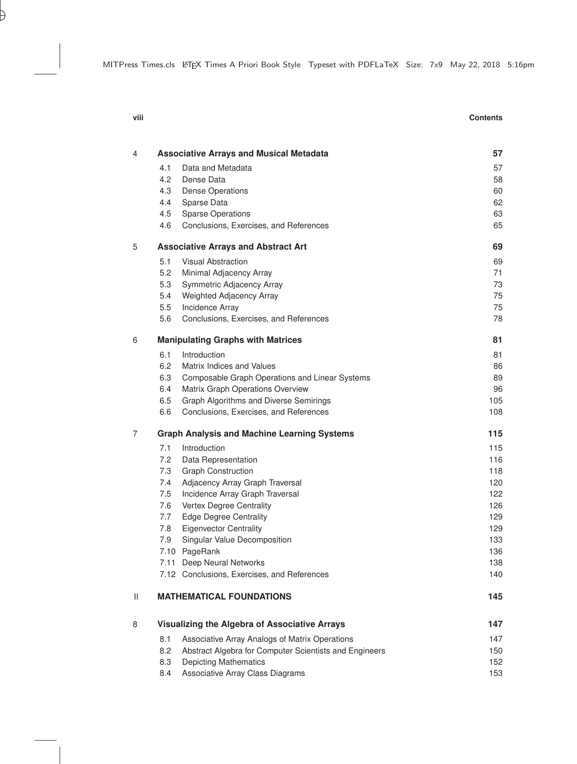| 4              |                                               | <b>Associative Arrays and Musical Metadata</b>                           | 57         |
|----------------|-----------------------------------------------|--------------------------------------------------------------------------|------------|
|                | 4.1                                           | Data and Metadata                                                        | 57         |
|                | 4.2                                           | Dense Data                                                               | 58         |
|                | 4.3                                           | <b>Dense Operations</b>                                                  | 60         |
|                | 4.4                                           | Sparse Data                                                              | 62         |
|                | 4.5                                           | <b>Sparse Operations</b>                                                 | 63         |
|                | 4.6                                           | Conclusions, Exercises, and References                                   | 65         |
| 5              | <b>Associative Arrays and Abstract Art</b>    | 69                                                                       |            |
|                | 5.1                                           | <b>Visual Abstraction</b>                                                | 69         |
|                | 5.2                                           | Minimal Adjacency Array                                                  | 71         |
|                | 5.3                                           | Symmetric Adjacency Array                                                | $73\,$     |
|                | 5.4                                           | Weighted Adjacency Array                                                 | 75         |
|                | 5.5                                           | <b>Incidence Array</b>                                                   | 75         |
|                | 5.6                                           | Conclusions, Exercises, and References                                   | 78         |
| 6              | <b>Manipulating Graphs with Matrices</b>      |                                                                          | 81         |
|                | 6.1                                           | Introduction                                                             | 81         |
|                | 6.2                                           | Matrix Indices and Values                                                | 86         |
|                | 6.3                                           | Composable Graph Operations and Linear Systems                           | 89         |
|                | 6.4                                           | Matrix Graph Operations Overview                                         | 96         |
|                | 6.5                                           | Graph Algorithms and Diverse Semirings                                   | 105        |
|                | 6.6                                           | Conclusions, Exercises, and References                                   | 108        |
| $\overline{7}$ | Graph Analysis and Machine Learning Systems   |                                                                          | 115        |
|                | 7.1                                           | Introduction                                                             | 115        |
|                | 7.2                                           | Data Representation                                                      | 116        |
|                | 7.3                                           | <b>Graph Construction</b>                                                | 118        |
|                | 7.4                                           | Adjacency Array Graph Traversal                                          | 120        |
|                | 7.5                                           | Incidence Array Graph Traversal                                          | 122        |
|                | 7.6                                           | Vertex Degree Centrality                                                 | 126        |
|                | 7.7                                           | <b>Edge Degree Centrality</b>                                            | 129        |
|                | 7.8                                           | <b>Eigenvector Centrality</b>                                            | 129        |
|                | 7.9                                           | Singular Value Decomposition                                             | 133        |
|                |                                               | 7.10 PageRank                                                            | 136        |
|                |                                               | 7.11 Deep Neural Networks<br>7.12 Conclusions, Exercises, and References | 138<br>140 |
| Ш              |                                               | <b>MATHEMATICAL FOUNDATIONS</b>                                          | 145        |
| 8              | Visualizing the Algebra of Associative Arrays |                                                                          | 147        |
|                | 8.1                                           | Associative Array Analogs of Matrix Operations                           | 147        |
|                | 8.2                                           | Abstract Algebra for Computer Scientists and Engineers                   | 150        |
|                | 8.3                                           | <b>Depicting Mathematics</b>                                             | 152        |
|                |                                               |                                                                          |            |

8.4 Associative Array Class Diagrams 153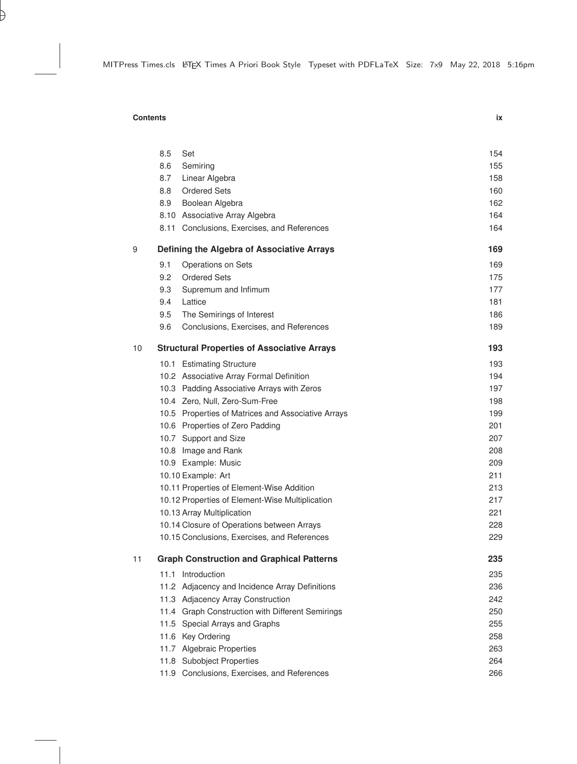## **Contents ix**

|    | 8.5                                        | Set                                                | 154 |
|----|--------------------------------------------|----------------------------------------------------|-----|
|    | 8.6                                        | Semiring                                           | 155 |
|    | 8.7                                        | Linear Algebra                                     | 158 |
|    | 8.8                                        | <b>Ordered Sets</b>                                | 160 |
|    | 8.9                                        | Boolean Algebra                                    | 162 |
|    |                                            | 8.10 Associative Array Algebra                     | 164 |
|    |                                            | 8.11 Conclusions, Exercises, and References        | 164 |
| 9  | Defining the Algebra of Associative Arrays | 169                                                |     |
|    | 9.1                                        | Operations on Sets                                 | 169 |
|    | 9.2                                        | <b>Ordered Sets</b>                                | 175 |
|    | 9.3                                        | Supremum and Infimum                               | 177 |
|    | 9.4                                        | Lattice                                            | 181 |
|    | 9.5                                        | The Semirings of Interest                          | 186 |
|    | 9.6                                        | Conclusions, Exercises, and References             | 189 |
| 10 |                                            | <b>Structural Properties of Associative Arrays</b> | 193 |
|    |                                            | 10.1 Estimating Structure                          | 193 |
|    |                                            | 10.2 Associative Array Formal Definition           | 194 |
|    |                                            | 10.3 Padding Associative Arrays with Zeros         | 197 |
|    |                                            | 10.4 Zero, Null, Zero-Sum-Free                     | 198 |
|    |                                            | 10.5 Properties of Matrices and Associative Arrays | 199 |
|    |                                            | 10.6 Properties of Zero Padding                    | 201 |
|    |                                            | 10.7 Support and Size                              | 207 |
|    |                                            | 10.8 Image and Rank                                | 208 |
|    |                                            | 10.9 Example: Music                                | 209 |
|    |                                            | 10.10 Example: Art                                 | 211 |
|    |                                            | 10.11 Properties of Element-Wise Addition          | 213 |
|    |                                            | 10.12 Properties of Element-Wise Multiplication    | 217 |
|    |                                            | 10.13 Array Multiplication                         | 221 |
|    |                                            | 10.14 Closure of Operations between Arrays         | 228 |
|    |                                            | 10.15 Conclusions, Exercises, and References       | 229 |
| 11 |                                            | <b>Graph Construction and Graphical Patterns</b>   | 235 |
|    |                                            | 11.1 Introduction                                  | 235 |
|    |                                            | 11.2 Adjacency and Incidence Array Definitions     | 236 |
|    |                                            | 11.3 Adjacency Array Construction                  | 242 |
|    |                                            | 11.4 Graph Construction with Different Semirings   | 250 |
|    |                                            | 11.5 Special Arrays and Graphs                     | 255 |
|    |                                            | 11.6 Key Ordering                                  | 258 |
|    |                                            | 11.7 Algebraic Properties                          | 263 |
|    |                                            | 11.8 Subobject Properties                          | 264 |
|    |                                            | 11.9 Conclusions, Exercises, and References        | 266 |